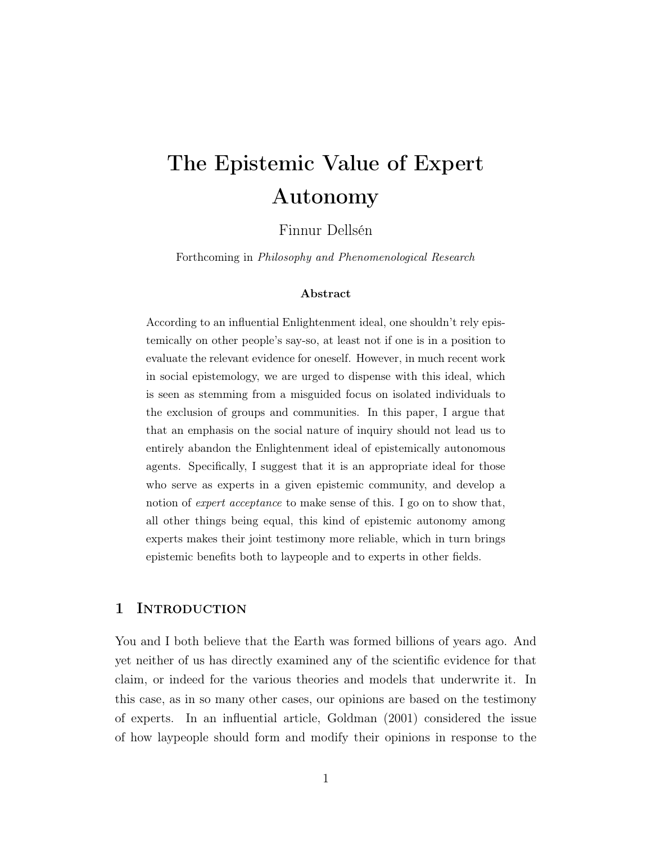# The Epistemic Value of Expert Autonomy

Finnur Dellsén

Forthcoming in Philosophy and Phenomenological Research

#### Abstract

According to an influential Enlightenment ideal, one shouldn't rely epistemically on other people's say-so, at least not if one is in a position to evaluate the relevant evidence for oneself. However, in much recent work in social epistemology, we are urged to dispense with this ideal, which is seen as stemming from a misguided focus on isolated individuals to the exclusion of groups and communities. In this paper, I argue that that an emphasis on the social nature of inquiry should not lead us to entirely abandon the Enlightenment ideal of epistemically autonomous agents. Specifically, I suggest that it is an appropriate ideal for those who serve as experts in a given epistemic community, and develop a notion of *expert acceptance* to make sense of this. I go on to show that, all other things being equal, this kind of epistemic autonomy among experts makes their joint testimony more reliable, which in turn brings epistemic benefits both to laypeople and to experts in other fields.

# 1 INTRODUCTION

You and I both believe that the Earth was formed billions of years ago. And yet neither of us has directly examined any of the scientific evidence for that claim, or indeed for the various theories and models that underwrite it. In this case, as in so many other cases, our opinions are based on the testimony of experts. In an influential article, Goldman (2001) considered the issue of how laypeople should form and modify their opinions in response to the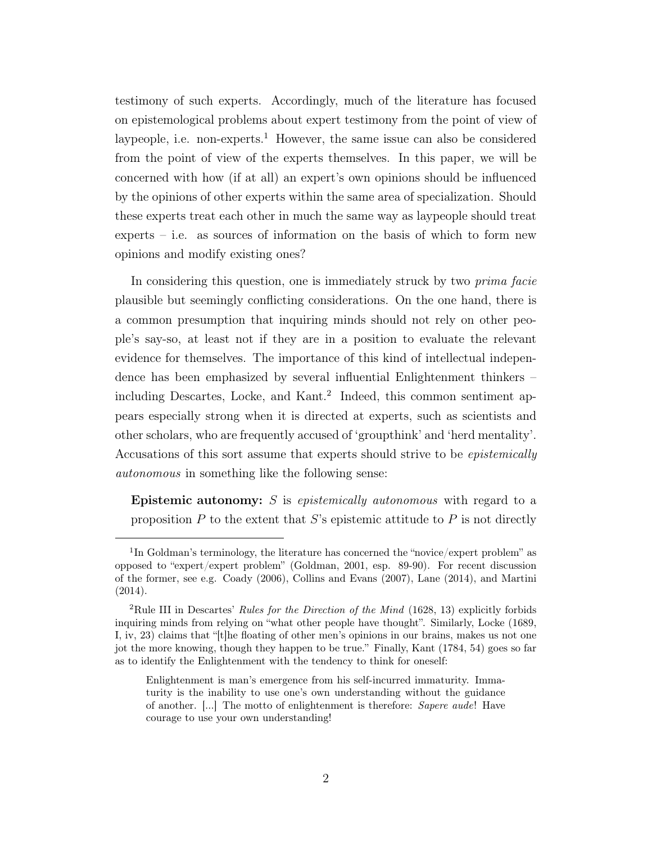testimony of such experts. Accordingly, much of the literature has focused on epistemological problems about expert testimony from the point of view of laypeople, i.e. non-experts.<sup>1</sup> However, the same issue can also be considered from the point of view of the experts themselves. In this paper, we will be concerned with how (if at all) an expert's own opinions should be influenced by the opinions of other experts within the same area of specialization. Should these experts treat each other in much the same way as laypeople should treat experts – i.e. as sources of information on the basis of which to form new opinions and modify existing ones?

In considering this question, one is immediately struck by two *prima facie* plausible but seemingly conflicting considerations. On the one hand, there is a common presumption that inquiring minds should not rely on other people's say-so, at least not if they are in a position to evaluate the relevant evidence for themselves. The importance of this kind of intellectual independence has been emphasized by several influential Enlightenment thinkers – including Descartes, Locke, and Kant.<sup>2</sup> Indeed, this common sentiment appears especially strong when it is directed at experts, such as scientists and other scholars, who are frequently accused of 'groupthink' and 'herd mentality'. Accusations of this sort assume that experts should strive to be *epistemically* autonomous in something like the following sense:

Epistemic autonomy: S is epistemically autonomous with regard to a proposition  $P$  to the extent that  $S$ 's epistemic attitude to  $P$  is not directly

<sup>&</sup>lt;sup>1</sup>In Goldman's terminology, the literature has concerned the "novice/expert problem" as opposed to "expert/expert problem" (Goldman, 2001, esp. 89-90). For recent discussion of the former, see e.g. Coady (2006), Collins and Evans (2007), Lane (2014), and Martini (2014).

<sup>&</sup>lt;sup>2</sup>Rule III in Descartes' *Rules for the Direction of the Mind* (1628, 13) explicitly forbids inquiring minds from relying on "what other people have thought". Similarly, Locke (1689, I, iv, 23) claims that "[t]he floating of other men's opinions in our brains, makes us not one jot the more knowing, though they happen to be true." Finally, Kant (1784, 54) goes so far as to identify the Enlightenment with the tendency to think for oneself:

Enlightenment is man's emergence from his self-incurred immaturity. Immaturity is the inability to use one's own understanding without the guidance of another. [...] The motto of enlightenment is therefore: Sapere aude! Have courage to use your own understanding!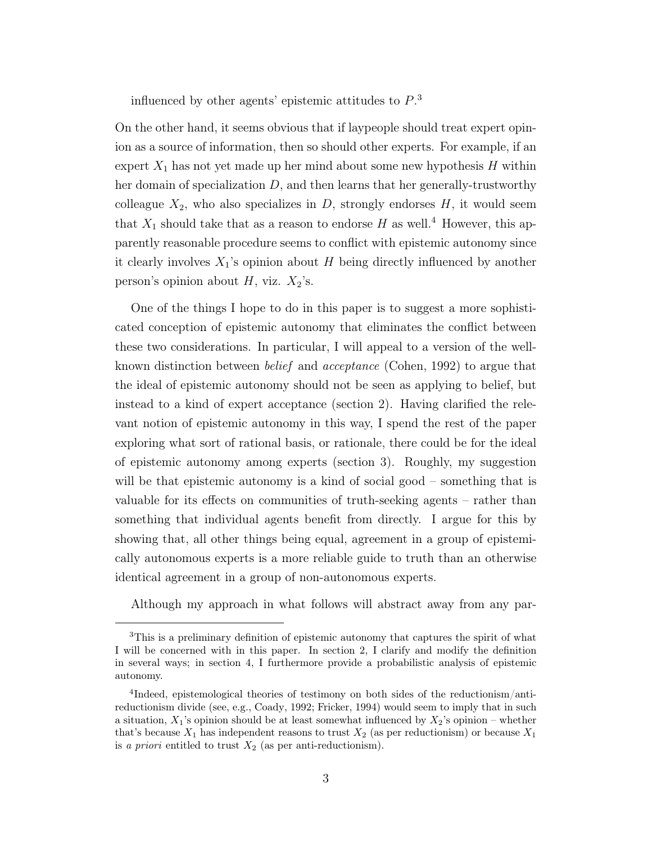influenced by other agents' epistemic attitudes to P. 3

On the other hand, it seems obvious that if laypeople should treat expert opinion as a source of information, then so should other experts. For example, if an expert  $X_1$  has not yet made up her mind about some new hypothesis H within her domain of specialization  $D$ , and then learns that her generally-trustworthy colleague  $X_2$ , who also specializes in D, strongly endorses H, it would seem that  $X_1$  should take that as a reason to endorse H as well.<sup>4</sup> However, this apparently reasonable procedure seems to conflict with epistemic autonomy since it clearly involves  $X_1$ 's opinion about H being directly influenced by another person's opinion about  $H$ , viz.  $X_2$ 's.

One of the things I hope to do in this paper is to suggest a more sophisticated conception of epistemic autonomy that eliminates the conflict between these two considerations. In particular, I will appeal to a version of the wellknown distinction between belief and acceptance (Cohen, 1992) to argue that the ideal of epistemic autonomy should not be seen as applying to belief, but instead to a kind of expert acceptance (section 2). Having clarified the relevant notion of epistemic autonomy in this way, I spend the rest of the paper exploring what sort of rational basis, or rationale, there could be for the ideal of epistemic autonomy among experts (section 3). Roughly, my suggestion will be that epistemic autonomy is a kind of social good – something that is valuable for its effects on communities of truth-seeking agents – rather than something that individual agents benefit from directly. I argue for this by showing that, all other things being equal, agreement in a group of epistemically autonomous experts is a more reliable guide to truth than an otherwise identical agreement in a group of non-autonomous experts.

Although my approach in what follows will abstract away from any par-

<sup>3</sup>This is a preliminary definition of epistemic autonomy that captures the spirit of what I will be concerned with in this paper. In section 2, I clarify and modify the definition in several ways; in section 4, I furthermore provide a probabilistic analysis of epistemic autonomy.

<sup>&</sup>lt;sup>4</sup>Indeed, epistemological theories of testimony on both sides of the reductionism/antireductionism divide (see, e.g., Coady, 1992; Fricker, 1994) would seem to imply that in such a situation,  $X_1$ 's opinion should be at least somewhat influenced by  $X_2$ 's opinion – whether that's because  $X_1$  has independent reasons to trust  $X_2$  (as per reductionism) or because  $X_1$ is a priori entitled to trust  $X_2$  (as per anti-reductionism).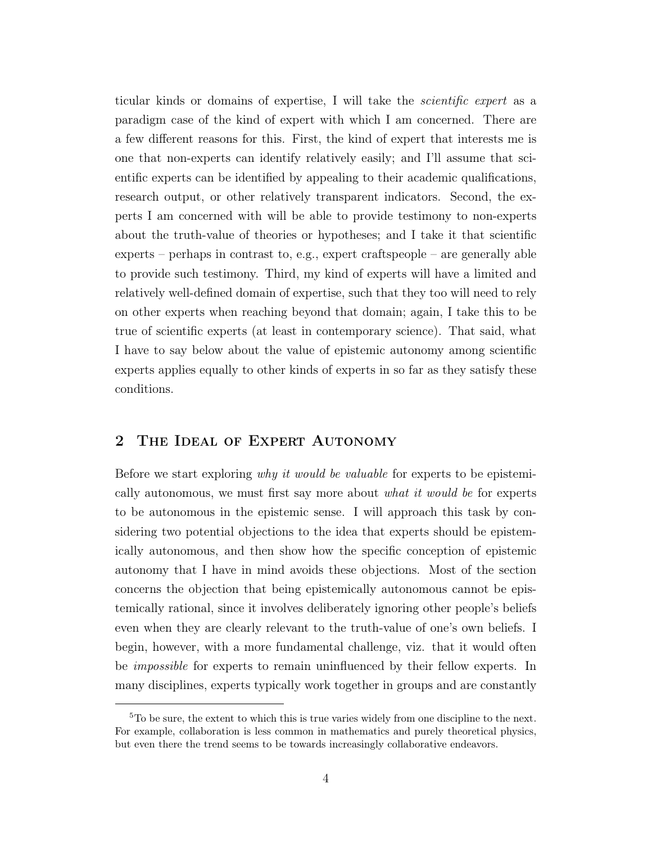ticular kinds or domains of expertise, I will take the scientific expert as a paradigm case of the kind of expert with which I am concerned. There are a few different reasons for this. First, the kind of expert that interests me is one that non-experts can identify relatively easily; and I'll assume that scientific experts can be identified by appealing to their academic qualifications, research output, or other relatively transparent indicators. Second, the experts I am concerned with will be able to provide testimony to non-experts about the truth-value of theories or hypotheses; and I take it that scientific experts – perhaps in contrast to, e.g., expert craftspeople – are generally able to provide such testimony. Third, my kind of experts will have a limited and relatively well-defined domain of expertise, such that they too will need to rely on other experts when reaching beyond that domain; again, I take this to be true of scientific experts (at least in contemporary science). That said, what I have to say below about the value of epistemic autonomy among scientific experts applies equally to other kinds of experts in so far as they satisfy these conditions.

# 2 The Ideal of Expert Autonomy

Before we start exploring why it would be valuable for experts to be epistemically autonomous, we must first say more about *what it would be* for experts to be autonomous in the epistemic sense. I will approach this task by considering two potential objections to the idea that experts should be epistemically autonomous, and then show how the specific conception of epistemic autonomy that I have in mind avoids these objections. Most of the section concerns the objection that being epistemically autonomous cannot be epistemically rational, since it involves deliberately ignoring other people's beliefs even when they are clearly relevant to the truth-value of one's own beliefs. I begin, however, with a more fundamental challenge, viz. that it would often be impossible for experts to remain uninfluenced by their fellow experts. In many disciplines, experts typically work together in groups and are constantly

<sup>5</sup>To be sure, the extent to which this is true varies widely from one discipline to the next. For example, collaboration is less common in mathematics and purely theoretical physics, but even there the trend seems to be towards increasingly collaborative endeavors.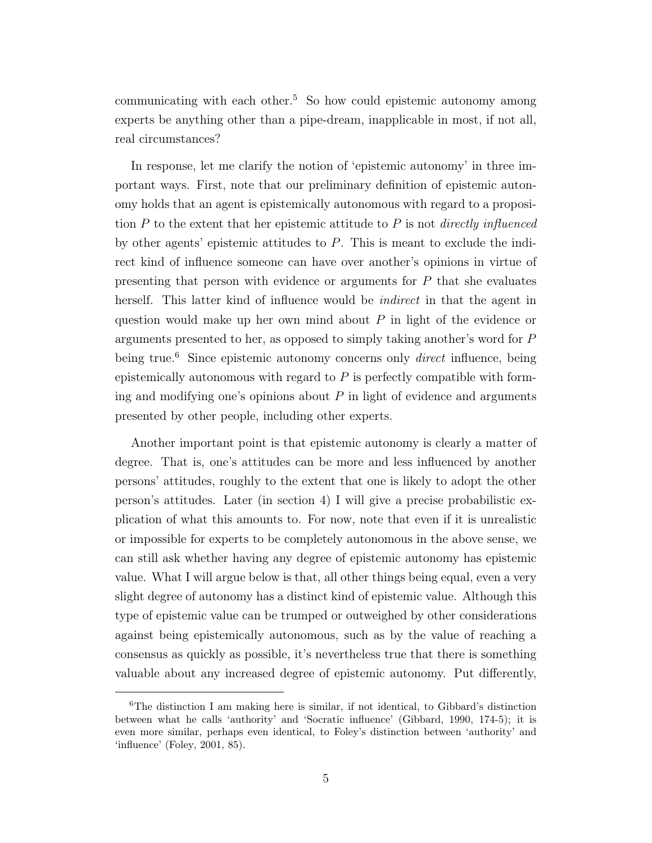communicating with each other.<sup>5</sup> So how could epistemic autonomy among experts be anything other than a pipe-dream, inapplicable in most, if not all, real circumstances?

In response, let me clarify the notion of 'epistemic autonomy' in three important ways. First, note that our preliminary definition of epistemic autonomy holds that an agent is epistemically autonomous with regard to a proposition  $P$  to the extent that her epistemic attitude to  $P$  is not *directly influenced* by other agents' epistemic attitudes to P. This is meant to exclude the indirect kind of influence someone can have over another's opinions in virtue of presenting that person with evidence or arguments for  $P$  that she evaluates herself. This latter kind of influence would be *indirect* in that the agent in question would make up her own mind about  $P$  in light of the evidence or arguments presented to her, as opposed to simply taking another's word for P being true.<sup>6</sup> Since epistemic autonomy concerns only *direct* influence, being epistemically autonomous with regard to  $P$  is perfectly compatible with forming and modifying one's opinions about  $P$  in light of evidence and arguments presented by other people, including other experts.

Another important point is that epistemic autonomy is clearly a matter of degree. That is, one's attitudes can be more and less influenced by another persons' attitudes, roughly to the extent that one is likely to adopt the other person's attitudes. Later (in section 4) I will give a precise probabilistic explication of what this amounts to. For now, note that even if it is unrealistic or impossible for experts to be completely autonomous in the above sense, we can still ask whether having any degree of epistemic autonomy has epistemic value. What I will argue below is that, all other things being equal, even a very slight degree of autonomy has a distinct kind of epistemic value. Although this type of epistemic value can be trumped or outweighed by other considerations against being epistemically autonomous, such as by the value of reaching a consensus as quickly as possible, it's nevertheless true that there is something valuable about any increased degree of epistemic autonomy. Put differently,

 $6$ The distinction I am making here is similar, if not identical, to Gibbard's distinction between what he calls 'authority' and 'Socratic influence' (Gibbard, 1990, 174-5); it is even more similar, perhaps even identical, to Foley's distinction between 'authority' and 'influence' (Foley, 2001, 85).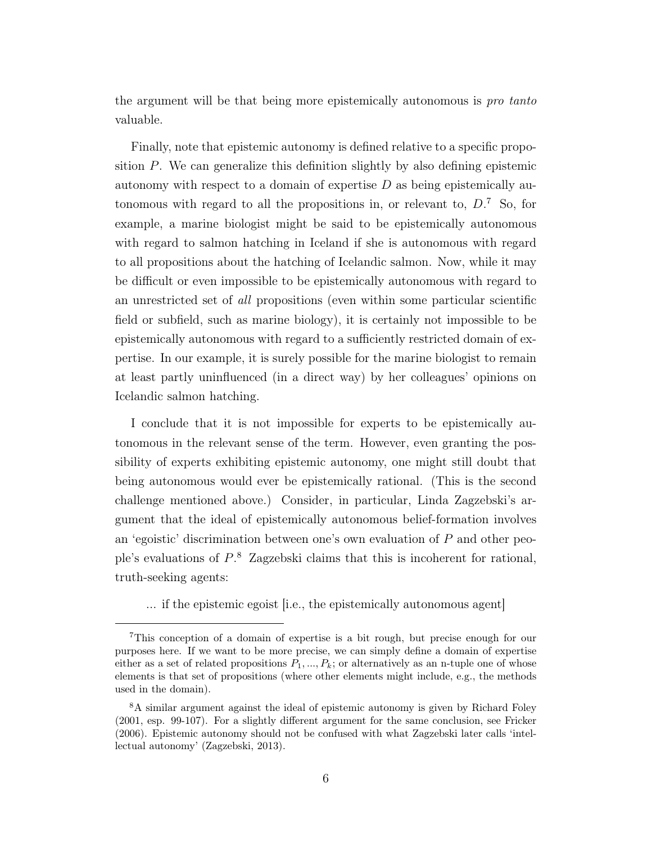the argument will be that being more epistemically autonomous is pro tanto valuable.

Finally, note that epistemic autonomy is defined relative to a specific proposition P. We can generalize this definition slightly by also defining epistemic autonomy with respect to a domain of expertise  $D$  as being epistemically autonomous with regard to all the propositions in, or relevant to,  $D^7$ . So, for example, a marine biologist might be said to be epistemically autonomous with regard to salmon hatching in Iceland if she is autonomous with regard to all propositions about the hatching of Icelandic salmon. Now, while it may be difficult or even impossible to be epistemically autonomous with regard to an unrestricted set of all propositions (even within some particular scientific field or subfield, such as marine biology), it is certainly not impossible to be epistemically autonomous with regard to a sufficiently restricted domain of expertise. In our example, it is surely possible for the marine biologist to remain at least partly uninfluenced (in a direct way) by her colleagues' opinions on Icelandic salmon hatching.

I conclude that it is not impossible for experts to be epistemically autonomous in the relevant sense of the term. However, even granting the possibility of experts exhibiting epistemic autonomy, one might still doubt that being autonomous would ever be epistemically rational. (This is the second challenge mentioned above.) Consider, in particular, Linda Zagzebski's argument that the ideal of epistemically autonomous belief-formation involves an 'egoistic' discrimination between one's own evaluation of  $P$  and other people's evaluations of P. <sup>8</sup> Zagzebski claims that this is incoherent for rational, truth-seeking agents:

... if the epistemic egoist [i.e., the epistemically autonomous agent]

<sup>7</sup>This conception of a domain of expertise is a bit rough, but precise enough for our purposes here. If we want to be more precise, we can simply define a domain of expertise either as a set of related propositions  $P_1, ..., P_k$ ; or alternatively as an n-tuple one of whose elements is that set of propositions (where other elements might include, e.g., the methods used in the domain).

<sup>8</sup>A similar argument against the ideal of epistemic autonomy is given by Richard Foley (2001, esp. 99-107). For a slightly different argument for the same conclusion, see Fricker (2006). Epistemic autonomy should not be confused with what Zagzebski later calls 'intellectual autonomy' (Zagzebski, 2013).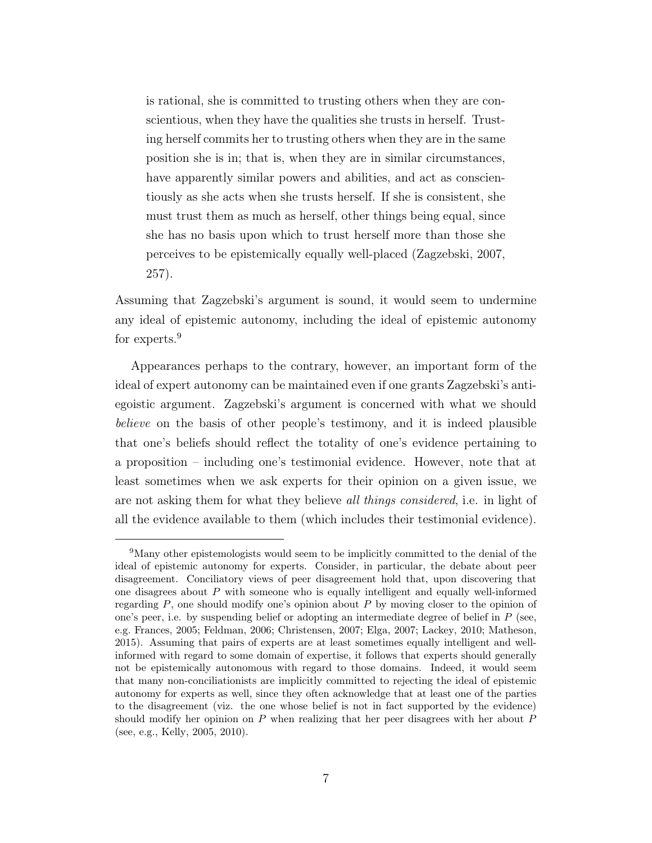is rational, she is committed to trusting others when they are conscientious, when they have the qualities she trusts in herself. Trusting herself commits her to trusting others when they are in the same position she is in; that is, when they are in similar circumstances, have apparently similar powers and abilities, and act as conscientiously as she acts when she trusts herself. If she is consistent, she must trust them as much as herself, other things being equal, since she has no basis upon which to trust herself more than those she perceives to be epistemically equally well-placed (Zagzebski, 2007, 257).

Assuming that Zagzebski's argument is sound, it would seem to undermine any ideal of epistemic autonomy, including the ideal of epistemic autonomy for experts.<sup>9</sup>

Appearances perhaps to the contrary, however, an important form of the ideal of expert autonomy can be maintained even if one grants Zagzebski's antiegoistic argument. Zagzebski's argument is concerned with what we should believe on the basis of other people's testimony, and it is indeed plausible that one's beliefs should reflect the totality of one's evidence pertaining to a proposition – including one's testimonial evidence. However, note that at least sometimes when we ask experts for their opinion on a given issue, we are not asking them for what they believe *all things considered*, i.e. in light of all the evidence available to them (which includes their testimonial evidence).

<sup>&</sup>lt;sup>9</sup>Many other epistemologists would seem to be implicitly committed to the denial of the ideal of epistemic autonomy for experts. Consider, in particular, the debate about peer disagreement. Conciliatory views of peer disagreement hold that, upon discovering that one disagrees about  $P$  with someone who is equally intelligent and equally well-informed regarding  $P$ , one should modify one's opinion about  $P$  by moving closer to the opinion of one's peer, i.e. by suspending belief or adopting an intermediate degree of belief in  $P$  (see, e.g. Frances, 2005; Feldman, 2006; Christensen, 2007; Elga, 2007; Lackey, 2010; Matheson, 2015). Assuming that pairs of experts are at least sometimes equally intelligent and wellinformed with regard to some domain of expertise, it follows that experts should generally not be epistemically autonomous with regard to those domains. Indeed, it would seem that many non-conciliationists are implicitly committed to rejecting the ideal of epistemic autonomy for experts as well, since they often acknowledge that at least one of the parties to the disagreement (viz. the one whose belief is not in fact supported by the evidence) should modify her opinion on  $P$  when realizing that her peer disagrees with her about  $P$ (see, e.g., Kelly, 2005, 2010).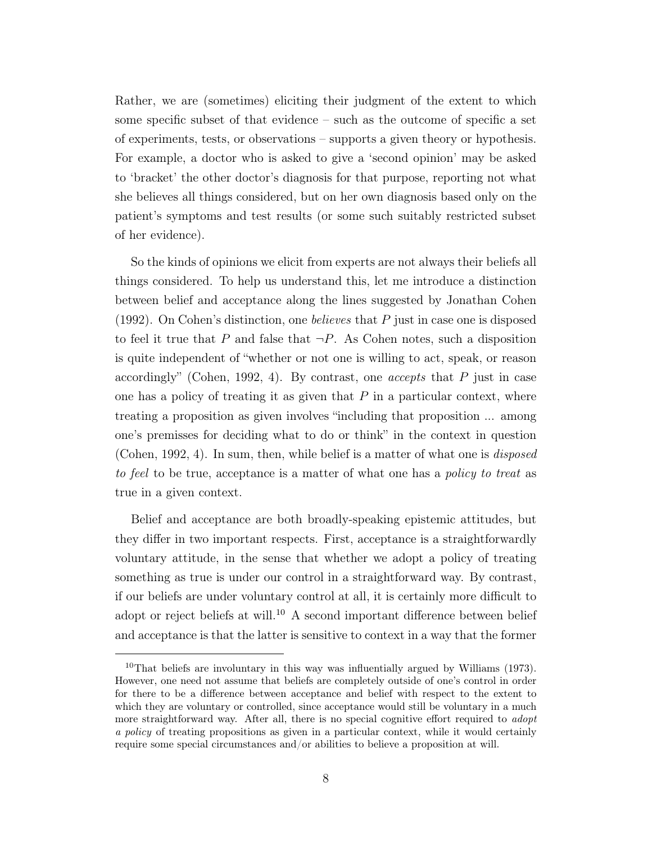Rather, we are (sometimes) eliciting their judgment of the extent to which some specific subset of that evidence – such as the outcome of specific a set of experiments, tests, or observations – supports a given theory or hypothesis. For example, a doctor who is asked to give a 'second opinion' may be asked to 'bracket' the other doctor's diagnosis for that purpose, reporting not what she believes all things considered, but on her own diagnosis based only on the patient's symptoms and test results (or some such suitably restricted subset of her evidence).

So the kinds of opinions we elicit from experts are not always their beliefs all things considered. To help us understand this, let me introduce a distinction between belief and acceptance along the lines suggested by Jonathan Cohen (1992). On Cohen's distinction, one *believes* that  $P$  just in case one is disposed to feel it true that P and false that  $\neg P$ . As Cohen notes, such a disposition is quite independent of "whether or not one is willing to act, speak, or reason accordingly" (Cohen, 1992, 4). By contrast, one *accepts* that  $P$  just in case one has a policy of treating it as given that  $P$  in a particular context, where treating a proposition as given involves "including that proposition ... among one's premisses for deciding what to do or think" in the context in question (Cohen, 1992, 4). In sum, then, while belief is a matter of what one is disposed to feel to be true, acceptance is a matter of what one has a *policy to treat* as true in a given context.

Belief and acceptance are both broadly-speaking epistemic attitudes, but they differ in two important respects. First, acceptance is a straightforwardly voluntary attitude, in the sense that whether we adopt a policy of treating something as true is under our control in a straightforward way. By contrast, if our beliefs are under voluntary control at all, it is certainly more difficult to adopt or reject beliefs at will.<sup>10</sup> A second important difference between belief and acceptance is that the latter is sensitive to context in a way that the former

 $10$ That beliefs are involuntary in this way was influentially argued by Williams (1973). However, one need not assume that beliefs are completely outside of one's control in order for there to be a difference between acceptance and belief with respect to the extent to which they are voluntary or controlled, since acceptance would still be voluntary in a much more straightforward way. After all, there is no special cognitive effort required to *adopt* a policy of treating propositions as given in a particular context, while it would certainly require some special circumstances and/or abilities to believe a proposition at will.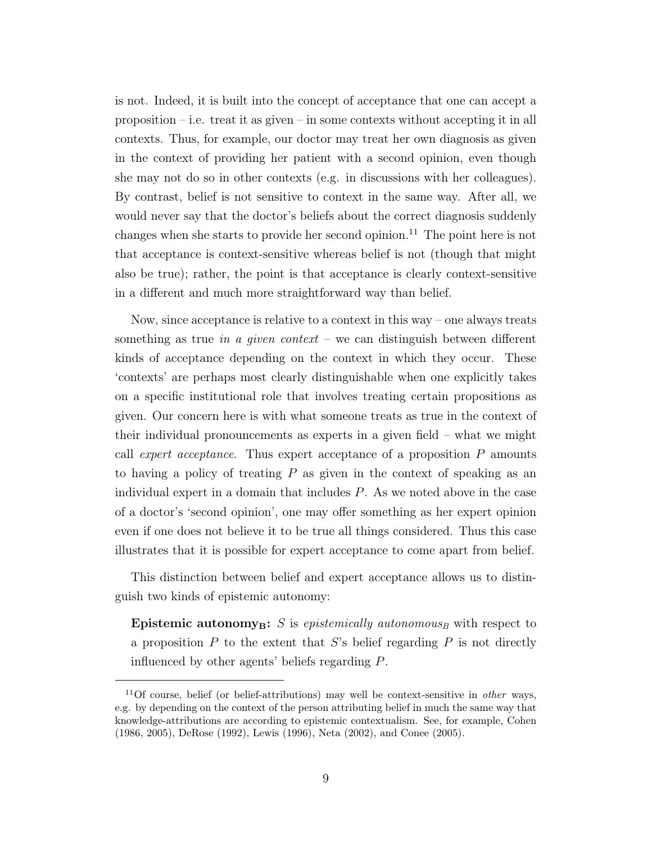is not. Indeed, it is built into the concept of acceptance that one can accept a proposition – i.e. treat it as given – in some contexts without accepting it in all contexts. Thus, for example, our doctor may treat her own diagnosis as given in the context of providing her patient with a second opinion, even though she may not do so in other contexts (e.g. in discussions with her colleagues). By contrast, belief is not sensitive to context in the same way. After all, we would never say that the doctor's beliefs about the correct diagnosis suddenly changes when she starts to provide her second opinion.<sup>11</sup> The point here is not that acceptance is context-sensitive whereas belief is not (though that might also be true); rather, the point is that acceptance is clearly context-sensitive in a different and much more straightforward way than belief.

Now, since acceptance is relative to a context in this way – one always treats something as true in a given context – we can distinguish between different kinds of acceptance depending on the context in which they occur. These 'contexts' are perhaps most clearly distinguishable when one explicitly takes on a specific institutional role that involves treating certain propositions as given. Our concern here is with what someone treats as true in the context of their individual pronouncements as experts in a given field – what we might call *expert acceptance*. Thus expert acceptance of a proposition P amounts to having a policy of treating  $P$  as given in the context of speaking as an individual expert in a domain that includes  $P$ . As we noted above in the case of a doctor's 'second opinion', one may offer something as her expert opinion even if one does not believe it to be true all things considered. Thus this case illustrates that it is possible for expert acceptance to come apart from belief.

This distinction between belief and expert acceptance allows us to distinguish two kinds of epistemic autonomy:

Epistemic autonomy<sub>B</sub>: S is epistemically autonomous<sub>B</sub> with respect to a proposition  $P$  to the extent that  $S$ 's belief regarding  $P$  is not directly influenced by other agents' beliefs regarding P.

 $11$ Of course, belief (or belief-attributions) may well be context-sensitive in *other* ways, e.g. by depending on the context of the person attributing belief in much the same way that knowledge-attributions are according to epistemic contextualism. See, for example, Cohen (1986, 2005), DeRose (1992), Lewis (1996), Neta (2002), and Conee (2005).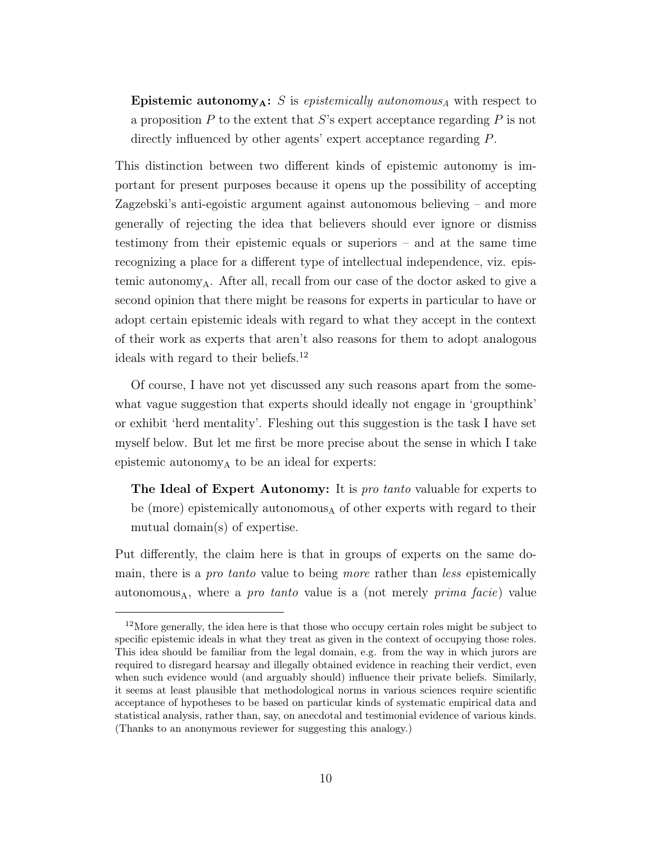Epistemic autonomy<sub>A</sub>: S is *epistemically autonomous<sub>A</sub>* with respect to a proposition P to the extent that S's expert acceptance regarding P is not directly influenced by other agents' expert acceptance regarding  $P$ .

This distinction between two different kinds of epistemic autonomy is important for present purposes because it opens up the possibility of accepting Zagzebski's anti-egoistic argument against autonomous believing – and more generally of rejecting the idea that believers should ever ignore or dismiss testimony from their epistemic equals or superiors – and at the same time recognizing a place for a different type of intellectual independence, viz. epistemic autonomy $_A$ . After all, recall from our case of the doctor asked to give a second opinion that there might be reasons for experts in particular to have or adopt certain epistemic ideals with regard to what they accept in the context of their work as experts that aren't also reasons for them to adopt analogous ideals with regard to their beliefs.<sup>12</sup>

Of course, I have not yet discussed any such reasons apart from the somewhat vague suggestion that experts should ideally not engage in 'groupthink' or exhibit 'herd mentality'. Fleshing out this suggestion is the task I have set myself below. But let me first be more precise about the sense in which I take epistemic autonomy $_A$  to be an ideal for experts:

The Ideal of Expert Autonomy: It is *pro tanto* valuable for experts to be (more) epistemically autonomous<sub>A</sub> of other experts with regard to their mutual domain(s) of expertise.

Put differently, the claim here is that in groups of experts on the same domain, there is a *pro tanto* value to being *more* rather than *less* epistemically autonomous<sub>A</sub>, where a *pro tanto* value is a (not merely *prima facie*) value

<sup>&</sup>lt;sup>12</sup>More generally, the idea here is that those who occupy certain roles might be subject to specific epistemic ideals in what they treat as given in the context of occupying those roles. This idea should be familiar from the legal domain, e.g. from the way in which jurors are required to disregard hearsay and illegally obtained evidence in reaching their verdict, even when such evidence would (and arguably should) influence their private beliefs. Similarly, it seems at least plausible that methodological norms in various sciences require scientific acceptance of hypotheses to be based on particular kinds of systematic empirical data and statistical analysis, rather than, say, on anecdotal and testimonial evidence of various kinds. (Thanks to an anonymous reviewer for suggesting this analogy.)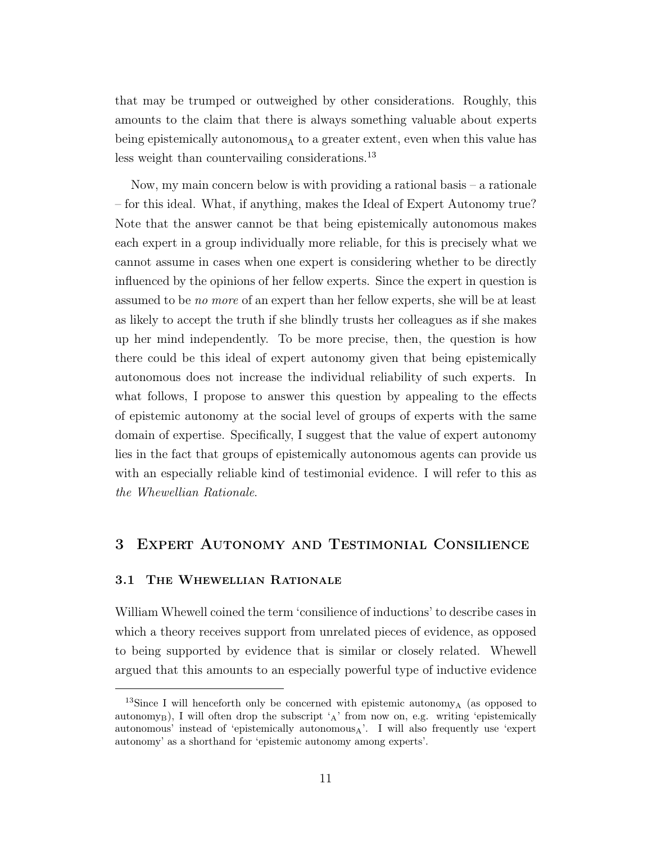that may be trumped or outweighed by other considerations. Roughly, this amounts to the claim that there is always something valuable about experts being epistemically autonomous<sub>A</sub> to a greater extent, even when this value has less weight than countervailing considerations.<sup>13</sup>

Now, my main concern below is with providing a rational basis – a rationale – for this ideal. What, if anything, makes the Ideal of Expert Autonomy true? Note that the answer cannot be that being epistemically autonomous makes each expert in a group individually more reliable, for this is precisely what we cannot assume in cases when one expert is considering whether to be directly influenced by the opinions of her fellow experts. Since the expert in question is assumed to be no more of an expert than her fellow experts, she will be at least as likely to accept the truth if she blindly trusts her colleagues as if she makes up her mind independently. To be more precise, then, the question is how there could be this ideal of expert autonomy given that being epistemically autonomous does not increase the individual reliability of such experts. In what follows, I propose to answer this question by appealing to the effects of epistemic autonomy at the social level of groups of experts with the same domain of expertise. Specifically, I suggest that the value of expert autonomy lies in the fact that groups of epistemically autonomous agents can provide us with an especially reliable kind of testimonial evidence. I will refer to this as the Whewellian Rationale.

# 3 Expert Autonomy and Testimonial Consilience

### 3.1 The Whewellian Rationale

William Whewell coined the term 'consilience of inductions' to describe cases in which a theory receives support from unrelated pieces of evidence, as opposed to being supported by evidence that is similar or closely related. Whewell argued that this amounts to an especially powerful type of inductive evidence

<sup>&</sup>lt;sup>13</sup>Since I will henceforth only be concerned with epistemic autonomy<sub>A</sub> (as opposed to autonomy<sub>B</sub>), I will often drop the subscript  $'_{A}$  from now on, e.g. writing 'epistemically autonomous' instead of 'epistemically autonomous $_A$ '. I will also frequently use 'expert autonomy' as a shorthand for 'epistemic autonomy among experts'.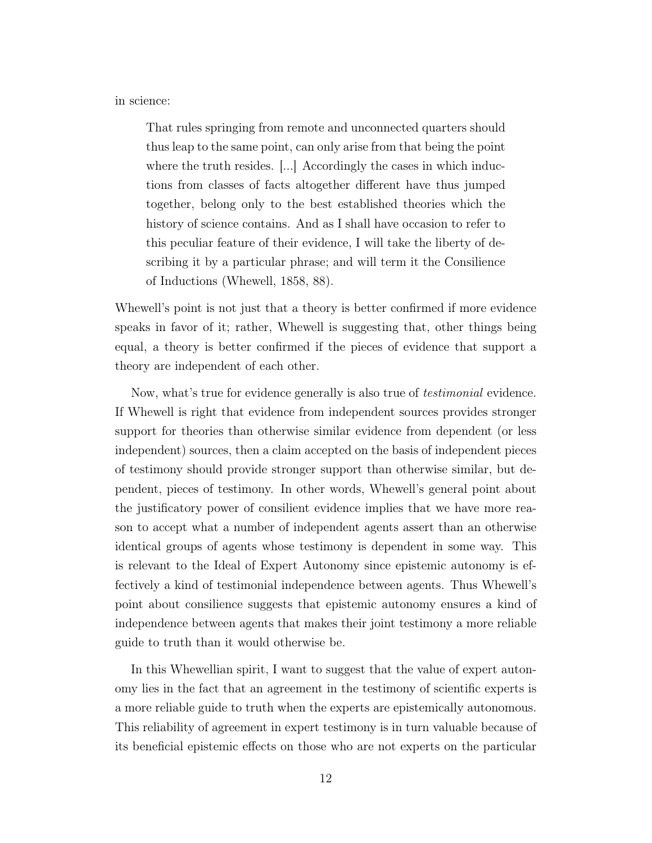in science:

That rules springing from remote and unconnected quarters should thus leap to the same point, can only arise from that being the point where the truth resides. [...] Accordingly the cases in which inductions from classes of facts altogether different have thus jumped together, belong only to the best established theories which the history of science contains. And as I shall have occasion to refer to this peculiar feature of their evidence, I will take the liberty of describing it by a particular phrase; and will term it the Consilience of Inductions (Whewell, 1858, 88).

Whewell's point is not just that a theory is better confirmed if more evidence speaks in favor of it; rather, Whewell is suggesting that, other things being equal, a theory is better confirmed if the pieces of evidence that support a theory are independent of each other.

Now, what's true for evidence generally is also true of testimonial evidence. If Whewell is right that evidence from independent sources provides stronger support for theories than otherwise similar evidence from dependent (or less independent) sources, then a claim accepted on the basis of independent pieces of testimony should provide stronger support than otherwise similar, but dependent, pieces of testimony. In other words, Whewell's general point about the justificatory power of consilient evidence implies that we have more reason to accept what a number of independent agents assert than an otherwise identical groups of agents whose testimony is dependent in some way. This is relevant to the Ideal of Expert Autonomy since epistemic autonomy is effectively a kind of testimonial independence between agents. Thus Whewell's point about consilience suggests that epistemic autonomy ensures a kind of independence between agents that makes their joint testimony a more reliable guide to truth than it would otherwise be.

In this Whewellian spirit, I want to suggest that the value of expert autonomy lies in the fact that an agreement in the testimony of scientific experts is a more reliable guide to truth when the experts are epistemically autonomous. This reliability of agreement in expert testimony is in turn valuable because of its beneficial epistemic effects on those who are not experts on the particular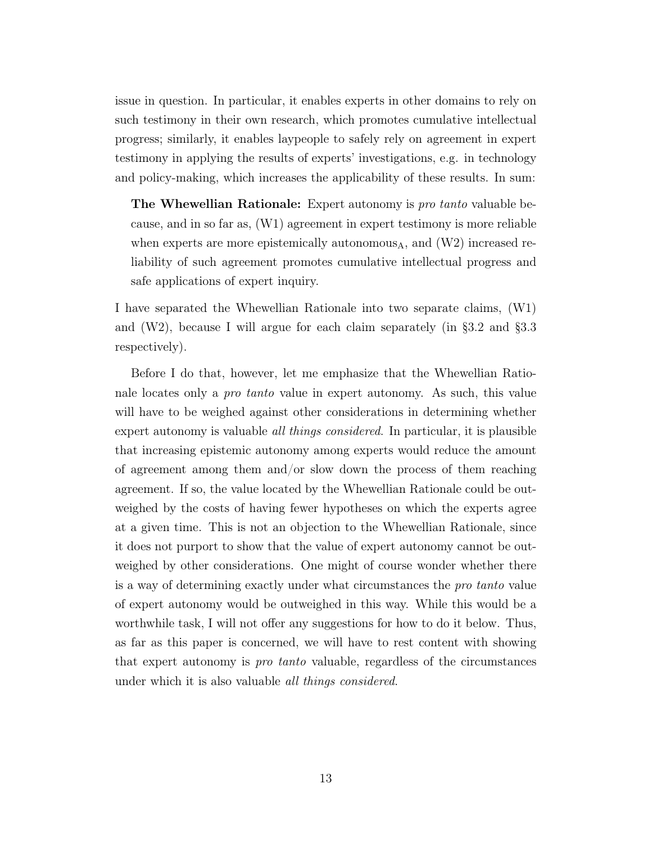issue in question. In particular, it enables experts in other domains to rely on such testimony in their own research, which promotes cumulative intellectual progress; similarly, it enables laypeople to safely rely on agreement in expert testimony in applying the results of experts' investigations, e.g. in technology and policy-making, which increases the applicability of these results. In sum:

The Whewellian Rationale: Expert autonomy is *pro tanto* valuable because, and in so far as, (W1) agreement in expert testimony is more reliable when experts are more epistemically autonomous<sub>A</sub>, and  $(W2)$  increased reliability of such agreement promotes cumulative intellectual progress and safe applications of expert inquiry.

I have separated the Whewellian Rationale into two separate claims, (W1) and (W2), because I will argue for each claim separately (in §3.2 and §3.3 respectively).

Before I do that, however, let me emphasize that the Whewellian Rationale locates only a pro tanto value in expert autonomy. As such, this value will have to be weighed against other considerations in determining whether expert autonomy is valuable *all things considered*. In particular, it is plausible that increasing epistemic autonomy among experts would reduce the amount of agreement among them and/or slow down the process of them reaching agreement. If so, the value located by the Whewellian Rationale could be outweighed by the costs of having fewer hypotheses on which the experts agree at a given time. This is not an objection to the Whewellian Rationale, since it does not purport to show that the value of expert autonomy cannot be outweighed by other considerations. One might of course wonder whether there is a way of determining exactly under what circumstances the pro tanto value of expert autonomy would be outweighed in this way. While this would be a worthwhile task, I will not offer any suggestions for how to do it below. Thus, as far as this paper is concerned, we will have to rest content with showing that expert autonomy is pro tanto valuable, regardless of the circumstances under which it is also valuable all things considered.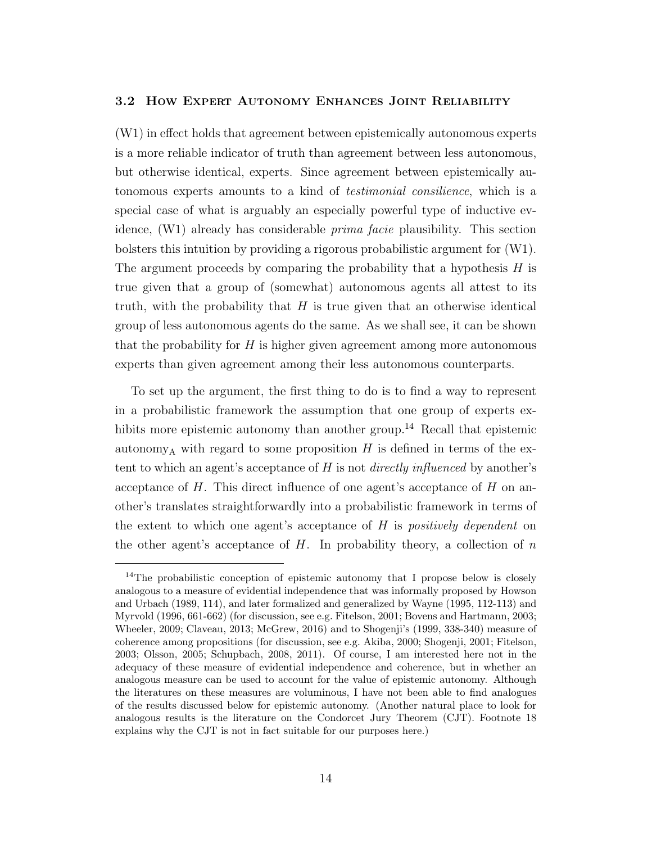#### 3.2 How Expert Autonomy Enhances Joint Reliability

(W1) in effect holds that agreement between epistemically autonomous experts is a more reliable indicator of truth than agreement between less autonomous, but otherwise identical, experts. Since agreement between epistemically autonomous experts amounts to a kind of testimonial consilience, which is a special case of what is arguably an especially powerful type of inductive evidence, (W1) already has considerable prima facie plausibility. This section bolsters this intuition by providing a rigorous probabilistic argument for (W1). The argument proceeds by comparing the probability that a hypothesis  $H$  is true given that a group of (somewhat) autonomous agents all attest to its truth, with the probability that  $H$  is true given that an otherwise identical group of less autonomous agents do the same. As we shall see, it can be shown that the probability for  $H$  is higher given agreement among more autonomous experts than given agreement among their less autonomous counterparts.

To set up the argument, the first thing to do is to find a way to represent in a probabilistic framework the assumption that one group of experts exhibits more epistemic autonomy than another group.<sup>14</sup> Recall that epistemic autonomy<sub>A</sub> with regard to some proposition  $H$  is defined in terms of the extent to which an agent's acceptance of  $H$  is not *directly influenced* by another's acceptance of  $H$ . This direct influence of one agent's acceptance of  $H$  on another's translates straightforwardly into a probabilistic framework in terms of the extent to which one agent's acceptance of  $H$  is *positively dependent* on the other agent's acceptance of  $H$ . In probability theory, a collection of  $n$ 

<sup>&</sup>lt;sup>14</sup>The probabilistic conception of epistemic autonomy that I propose below is closely analogous to a measure of evidential independence that was informally proposed by Howson and Urbach (1989, 114), and later formalized and generalized by Wayne (1995, 112-113) and Myrvold (1996, 661-662) (for discussion, see e.g. Fitelson, 2001; Bovens and Hartmann, 2003; Wheeler, 2009; Claveau, 2013; McGrew, 2016) and to Shogenji's (1999, 338-340) measure of coherence among propositions (for discussion, see e.g. Akiba, 2000; Shogenji, 2001; Fitelson, 2003; Olsson, 2005; Schupbach, 2008, 2011). Of course, I am interested here not in the adequacy of these measure of evidential independence and coherence, but in whether an analogous measure can be used to account for the value of epistemic autonomy. Although the literatures on these measures are voluminous, I have not been able to find analogues of the results discussed below for epistemic autonomy. (Another natural place to look for analogous results is the literature on the Condorcet Jury Theorem (CJT). Footnote 18 explains why the CJT is not in fact suitable for our purposes here.)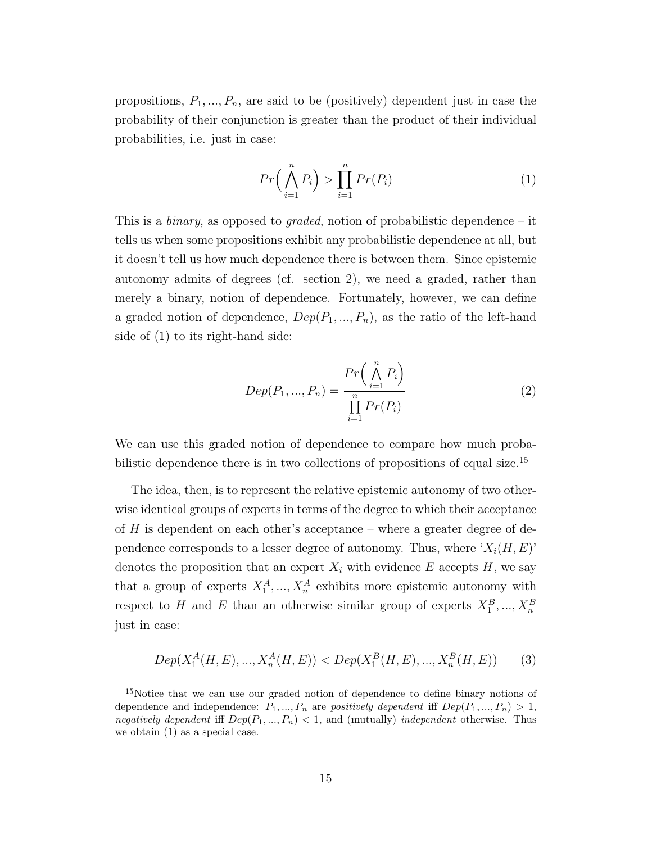propositions,  $P_1, ..., P_n$ , are said to be (positively) dependent just in case the probability of their conjunction is greater than the product of their individual probabilities, i.e. just in case:

$$
Pr\left(\bigwedge_{i=1}^{n} P_i\right) > \prod_{i=1}^{n} Pr(P_i)
$$
 (1)

This is a *binary*, as opposed to *graded*, notion of probabilistic dependence – it tells us when some propositions exhibit any probabilistic dependence at all, but it doesn't tell us how much dependence there is between them. Since epistemic autonomy admits of degrees (cf. section 2), we need a graded, rather than merely a binary, notion of dependence. Fortunately, however, we can define a graded notion of dependence,  $Dep(P_1, ..., P_n)$ , as the ratio of the left-hand side of (1) to its right-hand side:

$$
Dep(P_1, ..., P_n) = \frac{Pr\left(\bigwedge_{i=1}^n P_i\right)}{\prod_{i=1}^n Pr(P_i)}
$$
\n(2)

We can use this graded notion of dependence to compare how much probabilistic dependence there is in two collections of propositions of equal size.<sup>15</sup>

The idea, then, is to represent the relative epistemic autonomy of two otherwise identical groups of experts in terms of the degree to which their acceptance of  $H$  is dependent on each other's acceptance – where a greater degree of dependence corresponds to a lesser degree of autonomy. Thus, where  $X_i(H, E)$ ' denotes the proposition that an expert  $X_i$  with evidence E accepts H, we say that a group of experts  $X_1^A, ..., X_n^A$  exhibits more epistemic autonomy with respect to H and E than an otherwise similar group of experts  $X_1^B, ..., X_n^B$ just in case:

$$
Dep(X_1^A(H, E), ..., X_n^A(H, E)) < Dep(X_1^B(H, E), ..., X_n^B(H, E)) \tag{3}
$$

<sup>&</sup>lt;sup>15</sup>Notice that we can use our graded notion of dependence to define binary notions of dependence and independence:  $P_1, ..., P_n$  are positively dependent iff  $Dep(P_1, ..., P_n) > 1$ , negatively dependent iff  $Dep(P_1, ..., P_n) < 1$ , and (mutually) independent otherwise. Thus we obtain (1) as a special case.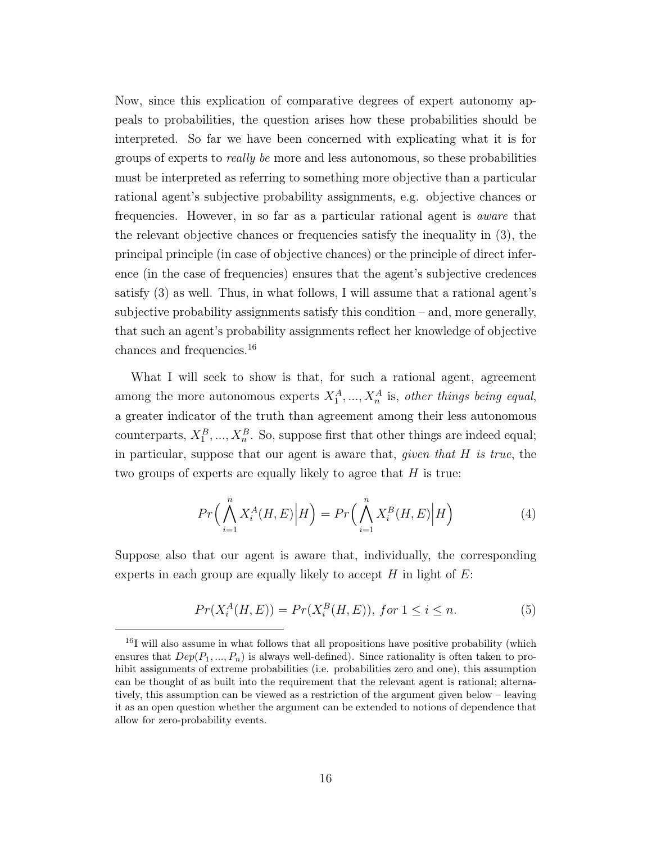Now, since this explication of comparative degrees of expert autonomy appeals to probabilities, the question arises how these probabilities should be interpreted. So far we have been concerned with explicating what it is for groups of experts to really be more and less autonomous, so these probabilities must be interpreted as referring to something more objective than a particular rational agent's subjective probability assignments, e.g. objective chances or frequencies. However, in so far as a particular rational agent is aware that the relevant objective chances or frequencies satisfy the inequality in (3), the principal principle (in case of objective chances) or the principle of direct inference (in the case of frequencies) ensures that the agent's subjective credences satisfy (3) as well. Thus, in what follows, I will assume that a rational agent's subjective probability assignments satisfy this condition – and, more generally, that such an agent's probability assignments reflect her knowledge of objective chances and frequencies.<sup>16</sup>

What I will seek to show is that, for such a rational agent, agreement among the more autonomous experts  $X_1^A, ..., X_n^A$  is, *other things being equal*, a greater indicator of the truth than agreement among their less autonomous counterparts,  $X_1^B$ , ...,  $X_n^B$ . So, suppose first that other things are indeed equal; in particular, suppose that our agent is aware that, given that  $H$  is true, the two groups of experts are equally likely to agree that  $H$  is true:

$$
Pr\left(\bigwedge_{i=1}^{n} X_{i}^{A}(H, E)\middle| H\right) = Pr\left(\bigwedge_{i=1}^{n} X_{i}^{B}(H, E)\middle| H\right)
$$
\n<sup>(4)</sup>

Suppose also that our agent is aware that, individually, the corresponding experts in each group are equally likely to accept  $H$  in light of  $E$ :

$$
Pr(X_i^A(H, E)) = Pr(X_i^B(H, E)), \text{ for } 1 \le i \le n. \tag{5}
$$

<sup>&</sup>lt;sup>16</sup>I will also assume in what follows that all propositions have positive probability (which ensures that  $Dep(P_1, ..., P_n)$  is always well-defined). Since rationality is often taken to prohibit assignments of extreme probabilities (i.e. probabilities zero and one), this assumption can be thought of as built into the requirement that the relevant agent is rational; alternatively, this assumption can be viewed as a restriction of the argument given below – leaving it as an open question whether the argument can be extended to notions of dependence that allow for zero-probability events.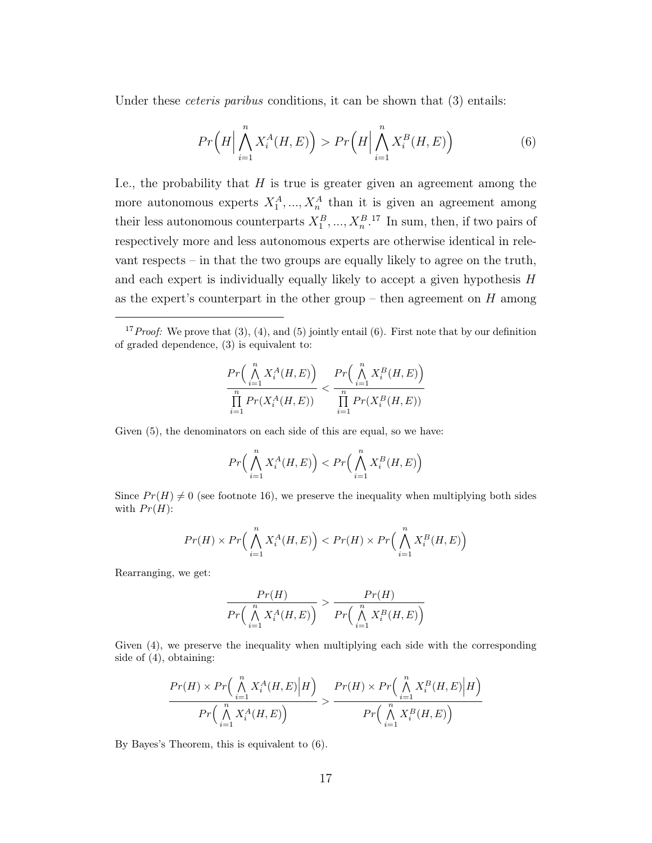Under these *ceteris paribus* conditions, it can be shown that (3) entails:

$$
Pr\left(H\Big|\bigwedge_{i=1}^{n} X_i^A(H,E)\right) > Pr\left(H\Big|\bigwedge_{i=1}^{n} X_i^B(H,E)\right) \tag{6}
$$

I.e., the probability that  $H$  is true is greater given an agreement among the more autonomous experts  $X_1^A, ..., X_n^A$  than it is given an agreement among their less autonomous counterparts  $X_1^B, ..., X_n^B$ <sup>17</sup> In sum, then, if two pairs of respectively more and less autonomous experts are otherwise identical in relevant respects – in that the two groups are equally likely to agree on the truth, and each expert is individually equally likely to accept a given hypothesis H as the expert's counterpart in the other group – then agreement on  $H$  among

$$
\frac{Pr\Big(\bigwedge_{i=1}^n X_i^A(H,E)\Big)}{\prod\limits_{i=1}^n Pr\big(X_i^A(H,E)\big)} < \frac{Pr\Big(\bigwedge_{i=1}^n X_i^B(H,E)\Big)}{\prod\limits_{i=1}^n Pr\big(X_i^B(H,E)\big)}
$$

Given  $(5)$ , the denominators on each side of this are equal, so we have:

$$
Pr\Big(\bigwedge_{i=1}^{n} X_{i}^{A}(H, E)\Big) < Pr\Big(\bigwedge_{i=1}^{n} X_{i}^{B}(H, E)\Big)
$$

Since  $Pr(H) \neq 0$  (see footnote 16), we preserve the inequality when multiplying both sides with  $Pr(H)$ :

$$
Pr(H) \times Pr\left(\bigwedge_{i=1}^{n} X_i^A(H, E)\right) < Pr(H) \times Pr\left(\bigwedge_{i=1}^{n} X_i^B(H, E)\right)
$$

Rearranging, we get:

$$
\frac{Pr(H)}{Pr\left(\bigwedge_{i=1}^{n} X_i^A(H, E)\right)} > \frac{Pr(H)}{Pr\left(\bigwedge_{i=1}^{n} X_i^B(H, E)\right)}
$$

Given (4), we preserve the inequality when multiplying each side with the corresponding side of (4), obtaining:

$$
\frac{Pr(H) \times Pr\left(\bigwedge_{i=1}^{n} X_i^A(H, E)\middle| H\right)}{Pr\left(\bigwedge_{i=1}^{n} X_i^A(H, E)\right)} > \frac{Pr(H) \times Pr\left(\bigwedge_{i=1}^{n} X_i^B(H, E)\middle| H\right)}{Pr\left(\bigwedge_{i=1}^{n} X_i^B(H, E)\right)}
$$

By Bayes's Theorem, this is equivalent to (6).

<sup>&</sup>lt;sup>17</sup> *Proof:* We prove that  $(3)$ ,  $(4)$ , and  $(5)$  jointly entail  $(6)$ . First note that by our definition of graded dependence, (3) is equivalent to: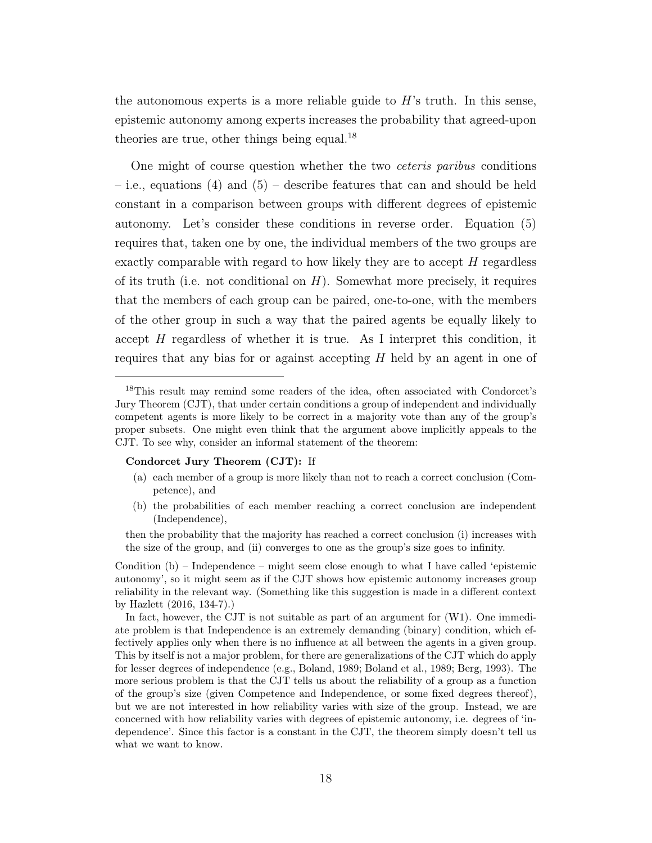the autonomous experts is a more reliable guide to  $H$ 's truth. In this sense, epistemic autonomy among experts increases the probability that agreed-upon theories are true, other things being equal.<sup>18</sup>

One might of course question whether the two ceteris paribus conditions – i.e., equations (4) and (5) – describe features that can and should be held constant in a comparison between groups with different degrees of epistemic autonomy. Let's consider these conditions in reverse order. Equation (5) requires that, taken one by one, the individual members of the two groups are exactly comparable with regard to how likely they are to accept  $H$  regardless of its truth (i.e. not conditional on  $H$ ). Somewhat more precisely, it requires that the members of each group can be paired, one-to-one, with the members of the other group in such a way that the paired agents be equally likely to accept  $H$  regardless of whether it is true. As I interpret this condition, it requires that any bias for or against accepting  $H$  held by an agent in one of

#### Condorcet Jury Theorem (CJT): If

- (a) each member of a group is more likely than not to reach a correct conclusion (Competence), and
- (b) the probabilities of each member reaching a correct conclusion are independent (Independence),

then the probability that the majority has reached a correct conclusion (i) increases with the size of the group, and (ii) converges to one as the group's size goes to infinity.

Condition  $(b)$  – Independence – might seem close enough to what I have called 'epistemic autonomy', so it might seem as if the CJT shows how epistemic autonomy increases group reliability in the relevant way. (Something like this suggestion is made in a different context by Hazlett (2016, 134-7).)

In fact, however, the CJT is not suitable as part of an argument for  $(W1)$ . One immediate problem is that Independence is an extremely demanding (binary) condition, which effectively applies only when there is no influence at all between the agents in a given group. This by itself is not a major problem, for there are generalizations of the CJT which do apply for lesser degrees of independence (e.g., Boland, 1989; Boland et al., 1989; Berg, 1993). The more serious problem is that the CJT tells us about the reliability of a group as a function of the group's size (given Competence and Independence, or some fixed degrees thereof), but we are not interested in how reliability varies with size of the group. Instead, we are concerned with how reliability varies with degrees of epistemic autonomy, i.e. degrees of 'independence'. Since this factor is a constant in the CJT, the theorem simply doesn't tell us what we want to know.

<sup>18</sup>This result may remind some readers of the idea, often associated with Condorcet's Jury Theorem (CJT), that under certain conditions a group of independent and individually competent agents is more likely to be correct in a majority vote than any of the group's proper subsets. One might even think that the argument above implicitly appeals to the CJT. To see why, consider an informal statement of the theorem: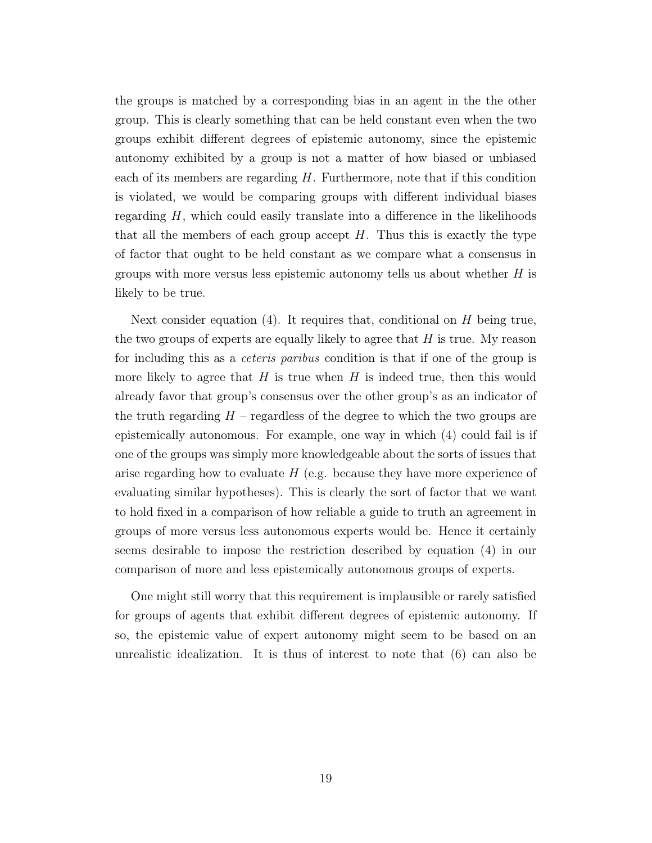the groups is matched by a corresponding bias in an agent in the the other group. This is clearly something that can be held constant even when the two groups exhibit different degrees of epistemic autonomy, since the epistemic autonomy exhibited by a group is not a matter of how biased or unbiased each of its members are regarding  $H$ . Furthermore, note that if this condition is violated, we would be comparing groups with different individual biases regarding  $H$ , which could easily translate into a difference in the likelihoods that all the members of each group accept  $H$ . Thus this is exactly the type of factor that ought to be held constant as we compare what a consensus in groups with more versus less epistemic autonomy tells us about whether  $H$  is likely to be true.

Next consider equation  $(4)$ . It requires that, conditional on H being true, the two groups of experts are equally likely to agree that  $H$  is true. My reason for including this as a ceteris paribus condition is that if one of the group is more likely to agree that  $H$  is true when  $H$  is indeed true, then this would already favor that group's consensus over the other group's as an indicator of the truth regarding  $H$  – regardless of the degree to which the two groups are epistemically autonomous. For example, one way in which (4) could fail is if one of the groups was simply more knowledgeable about the sorts of issues that arise regarding how to evaluate  $H$  (e.g. because they have more experience of evaluating similar hypotheses). This is clearly the sort of factor that we want to hold fixed in a comparison of how reliable a guide to truth an agreement in groups of more versus less autonomous experts would be. Hence it certainly seems desirable to impose the restriction described by equation (4) in our comparison of more and less epistemically autonomous groups of experts.

One might still worry that this requirement is implausible or rarely satisfied for groups of agents that exhibit different degrees of epistemic autonomy. If so, the epistemic value of expert autonomy might seem to be based on an unrealistic idealization. It is thus of interest to note that (6) can also be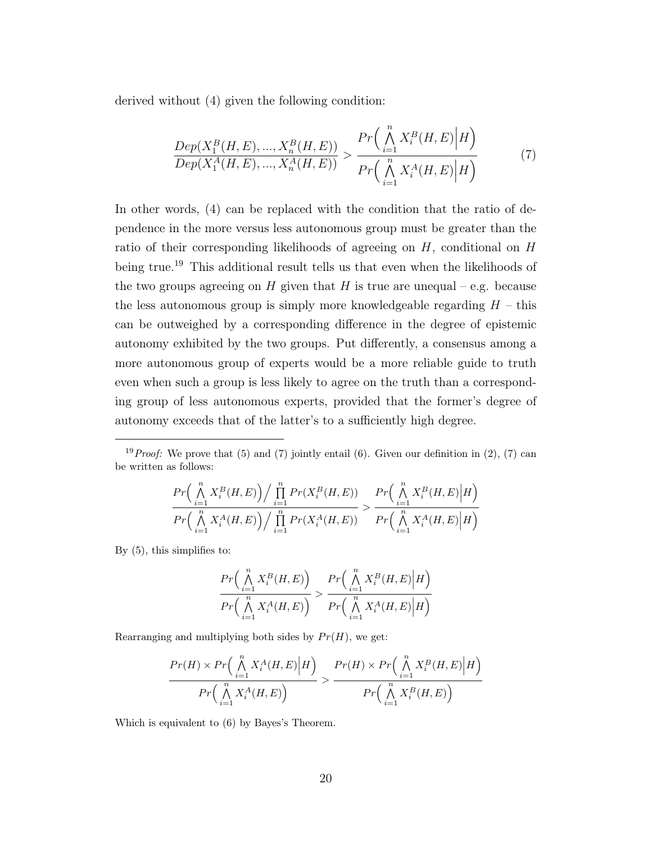derived without (4) given the following condition:

$$
\frac{Dep(X_1^B(H, E), ..., X_n^B(H, E))}{Dep(X_1^A(H, E), ..., X_n^A(H, E))} > \frac{Pr\left(\bigwedge_{i=1}^n X_i^B(H, E) \middle| H\right)}{Pr\left(\bigwedge_{i=1}^n X_i^A(H, E) \middle| H\right)}
$$
(7)

In other words, (4) can be replaced with the condition that the ratio of dependence in the more versus less autonomous group must be greater than the ratio of their corresponding likelihoods of agreeing on  $H$ , conditional on  $H$ being true.<sup>19</sup> This additional result tells us that even when the likelihoods of the two groups agreeing on H given that H is true are unequal – e.g. because the less autonomous group is simply more knowledgeable regarding  $H$  – this can be outweighed by a corresponding difference in the degree of epistemic autonomy exhibited by the two groups. Put differently, a consensus among a more autonomous group of experts would be a more reliable guide to truth even when such a group is less likely to agree on the truth than a corresponding group of less autonomous experts, provided that the former's degree of autonomy exceeds that of the latter's to a sufficiently high degree.

$$
\frac{\Pr\left(\bigwedge_{i=1}^{n} X_i^B(H, E)\right) / \prod_{i=1}^{n} \Pr(X_i^B(H, E))}{\Pr\left(\bigwedge_{i=1}^{n} X_i^A(H, E)\right) / \prod_{i=1}^{n} \Pr(X_i^A(H, E))} > \frac{\Pr\left(\bigwedge_{i=1}^{n} X_i^B(H, E)\middle|H\right)}{\Pr\left(\bigwedge_{i=1}^{n} X_i^A(H, E)\middle|H\right)}
$$

By (5), this simplifies to:

$$
\frac{Pr\left(\bigwedge_{i=1}^{n} X_{i}^{B}(H,E)\right)}{Pr\left(\bigwedge_{i=1}^{n} X_{i}^{A}(H,E)\right)} > \frac{Pr\left(\bigwedge_{i=1}^{n} X_{i}^{B}(H,E) \middle| H\right)}{Pr\left(\bigwedge_{i=1}^{n} X_{i}^{A}(H,E) \middle| H\right)}
$$

Rearranging and multiplying both sides by  $Pr(H)$ , we get:

$$
\frac{Pr(H) \times Pr\left(\bigwedge_{i=1}^{n} X_i^A(H, E)\middle| H\right)}{Pr\left(\bigwedge_{i=1}^{n} X_i^A(H, E)\right)} > \frac{Pr(H) \times Pr\left(\bigwedge_{i=1}^{n} X_i^B(H, E)\middle| H\right)}{Pr\left(\bigwedge_{i=1}^{n} X_i^B(H, E)\right)}
$$

Which is equivalent to (6) by Bayes's Theorem.

<sup>&</sup>lt;sup>19</sup> Proof: We prove that (5) and (7) jointly entail (6). Given our definition in (2), (7) can be written as follows: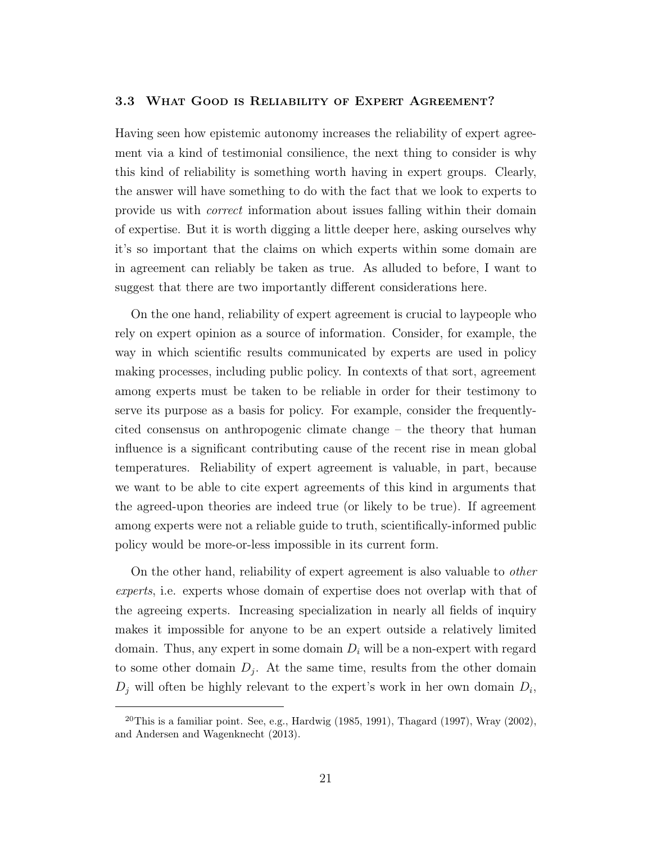## 3.3 What Good is Reliability of Expert Agreement?

Having seen how epistemic autonomy increases the reliability of expert agreement via a kind of testimonial consilience, the next thing to consider is why this kind of reliability is something worth having in expert groups. Clearly, the answer will have something to do with the fact that we look to experts to provide us with correct information about issues falling within their domain of expertise. But it is worth digging a little deeper here, asking ourselves why it's so important that the claims on which experts within some domain are in agreement can reliably be taken as true. As alluded to before, I want to suggest that there are two importantly different considerations here.

On the one hand, reliability of expert agreement is crucial to laypeople who rely on expert opinion as a source of information. Consider, for example, the way in which scientific results communicated by experts are used in policy making processes, including public policy. In contexts of that sort, agreement among experts must be taken to be reliable in order for their testimony to serve its purpose as a basis for policy. For example, consider the frequentlycited consensus on anthropogenic climate change – the theory that human influence is a significant contributing cause of the recent rise in mean global temperatures. Reliability of expert agreement is valuable, in part, because we want to be able to cite expert agreements of this kind in arguments that the agreed-upon theories are indeed true (or likely to be true). If agreement among experts were not a reliable guide to truth, scientifically-informed public policy would be more-or-less impossible in its current form.

On the other hand, reliability of expert agreement is also valuable to other experts, i.e. experts whose domain of expertise does not overlap with that of the agreeing experts. Increasing specialization in nearly all fields of inquiry makes it impossible for anyone to be an expert outside a relatively limited domain. Thus, any expert in some domain  $D_i$  will be a non-expert with regard to some other domain  $D_j$ . At the same time, results from the other domain  $D_j$  will often be highly relevant to the expert's work in her own domain  $D_i$ ,

<sup>&</sup>lt;sup>20</sup>This is a familiar point. See, e.g., Hardwig (1985, 1991), Thagard (1997), Wray (2002), and Andersen and Wagenknecht (2013).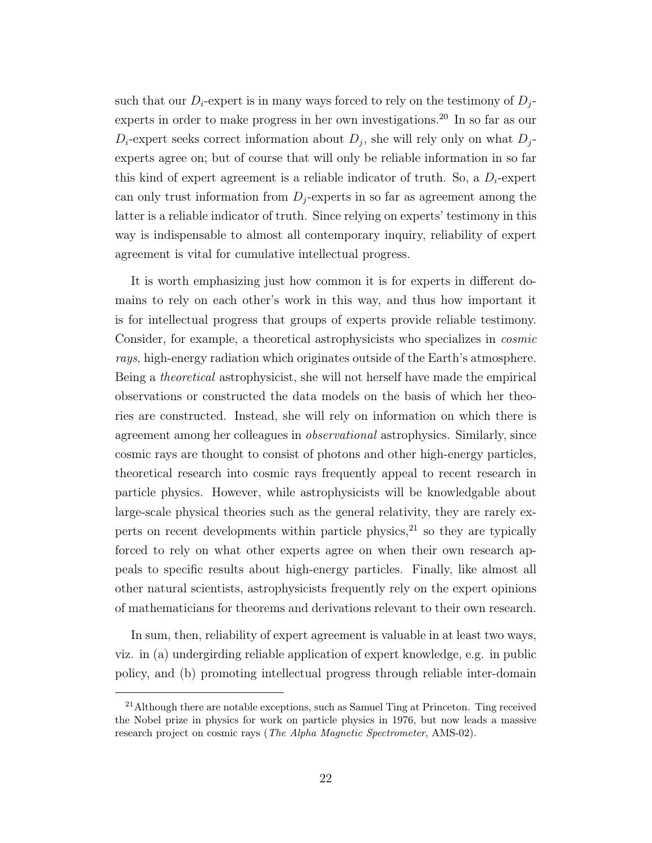such that our  $D_i$ -expert is in many ways forced to rely on the testimony of  $D_i$ experts in order to make progress in her own investigations.<sup>20</sup> In so far as our  $D_i$ -expert seeks correct information about  $D_j$ , she will rely only on what  $D_j$ experts agree on; but of course that will only be reliable information in so far this kind of expert agreement is a reliable indicator of truth. So, a  $D_i$ -expert can only trust information from  $D_j$ -experts in so far as agreement among the latter is a reliable indicator of truth. Since relying on experts' testimony in this way is indispensable to almost all contemporary inquiry, reliability of expert agreement is vital for cumulative intellectual progress.

It is worth emphasizing just how common it is for experts in different domains to rely on each other's work in this way, and thus how important it is for intellectual progress that groups of experts provide reliable testimony. Consider, for example, a theoretical astrophysicists who specializes in *cosmic* rays, high-energy radiation which originates outside of the Earth's atmosphere. Being a theoretical astrophysicist, she will not herself have made the empirical observations or constructed the data models on the basis of which her theories are constructed. Instead, she will rely on information on which there is agreement among her colleagues in observational astrophysics. Similarly, since cosmic rays are thought to consist of photons and other high-energy particles, theoretical research into cosmic rays frequently appeal to recent research in particle physics. However, while astrophysicists will be knowledgable about large-scale physical theories such as the general relativity, they are rarely experts on recent developments within particle physics,  $2<sup>1</sup>$  so they are typically forced to rely on what other experts agree on when their own research appeals to specific results about high-energy particles. Finally, like almost all other natural scientists, astrophysicists frequently rely on the expert opinions of mathematicians for theorems and derivations relevant to their own research.

In sum, then, reliability of expert agreement is valuable in at least two ways, viz. in (a) undergirding reliable application of expert knowledge, e.g. in public policy, and (b) promoting intellectual progress through reliable inter-domain

 $21$ Although there are notable exceptions, such as Samuel Ting at Princeton. Ting received the Nobel prize in physics for work on particle physics in 1976, but now leads a massive research project on cosmic rays (The Alpha Magnetic Spectrometer, AMS-02).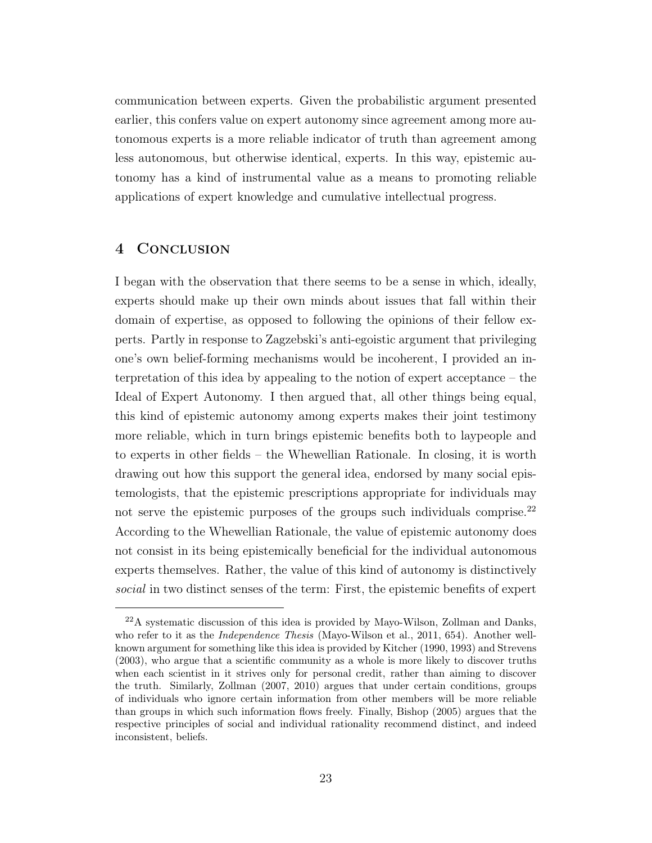communication between experts. Given the probabilistic argument presented earlier, this confers value on expert autonomy since agreement among more autonomous experts is a more reliable indicator of truth than agreement among less autonomous, but otherwise identical, experts. In this way, epistemic autonomy has a kind of instrumental value as a means to promoting reliable applications of expert knowledge and cumulative intellectual progress.

## 4 Conclusion

I began with the observation that there seems to be a sense in which, ideally, experts should make up their own minds about issues that fall within their domain of expertise, as opposed to following the opinions of their fellow experts. Partly in response to Zagzebski's anti-egoistic argument that privileging one's own belief-forming mechanisms would be incoherent, I provided an interpretation of this idea by appealing to the notion of expert acceptance – the Ideal of Expert Autonomy. I then argued that, all other things being equal, this kind of epistemic autonomy among experts makes their joint testimony more reliable, which in turn brings epistemic benefits both to laypeople and to experts in other fields – the Whewellian Rationale. In closing, it is worth drawing out how this support the general idea, endorsed by many social epistemologists, that the epistemic prescriptions appropriate for individuals may not serve the epistemic purposes of the groups such individuals comprise.<sup>22</sup> According to the Whewellian Rationale, the value of epistemic autonomy does not consist in its being epistemically beneficial for the individual autonomous experts themselves. Rather, the value of this kind of autonomy is distinctively social in two distinct senses of the term: First, the epistemic benefits of expert

<sup>22</sup>A systematic discussion of this idea is provided by Mayo-Wilson, Zollman and Danks, who refer to it as the *Independence Thesis* (Mayo-Wilson et al., 2011, 654). Another wellknown argument for something like this idea is provided by Kitcher (1990, 1993) and Strevens (2003), who argue that a scientific community as a whole is more likely to discover truths when each scientist in it strives only for personal credit, rather than aiming to discover the truth. Similarly, Zollman (2007, 2010) argues that under certain conditions, groups of individuals who ignore certain information from other members will be more reliable than groups in which such information flows freely. Finally, Bishop (2005) argues that the respective principles of social and individual rationality recommend distinct, and indeed inconsistent, beliefs.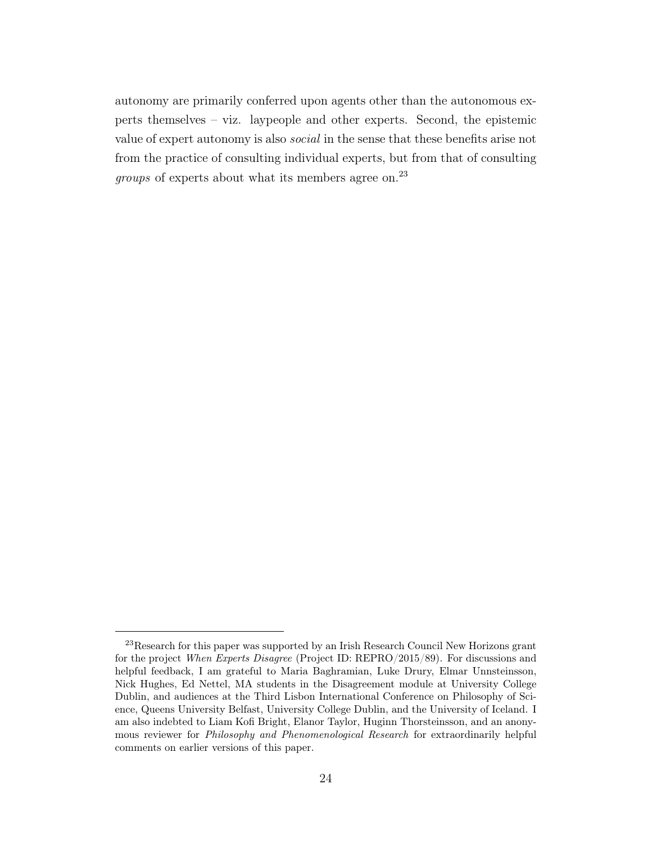autonomy are primarily conferred upon agents other than the autonomous experts themselves – viz. laypeople and other experts. Second, the epistemic value of expert autonomy is also social in the sense that these benefits arise not from the practice of consulting individual experts, but from that of consulting groups of experts about what its members agree on.<sup>23</sup>

<sup>&</sup>lt;sup>23</sup>Research for this paper was supported by an Irish Research Council New Horizons grant for the project When Experts Disagree (Project ID: REPRO/2015/89). For discussions and helpful feedback, I am grateful to Maria Baghramian, Luke Drury, Elmar Unnsteinsson, Nick Hughes, Ed Nettel, MA students in the Disagreement module at University College Dublin, and audiences at the Third Lisbon International Conference on Philosophy of Science, Queens University Belfast, University College Dublin, and the University of Iceland. I am also indebted to Liam Kofi Bright, Elanor Taylor, Huginn Thorsteinsson, and an anonymous reviewer for *Philosophy and Phenomenological Research* for extraordinarily helpful comments on earlier versions of this paper.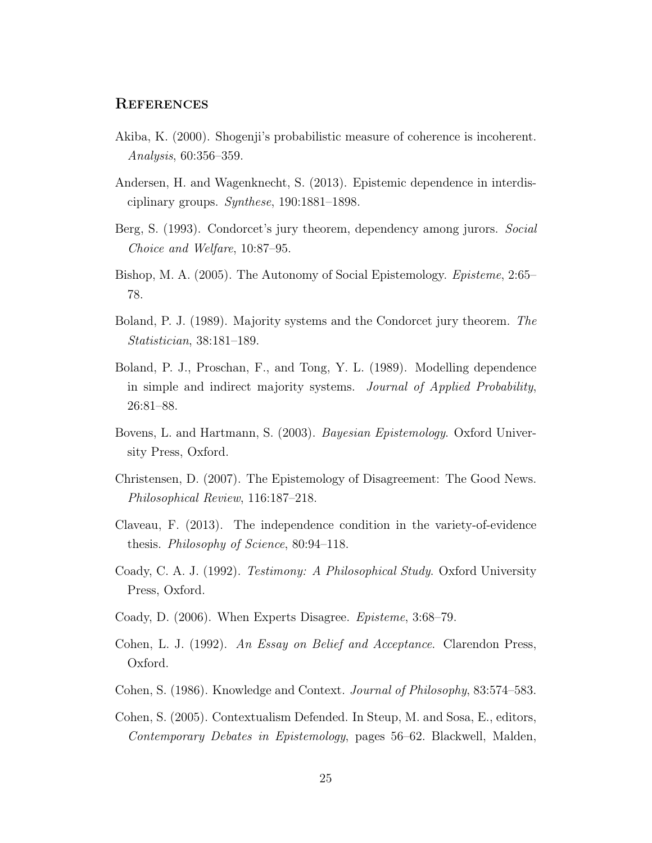## **REFERENCES**

- Akiba, K. (2000). Shogenji's probabilistic measure of coherence is incoherent. Analysis, 60:356–359.
- Andersen, H. and Wagenknecht, S. (2013). Epistemic dependence in interdisciplinary groups. Synthese, 190:1881–1898.
- Berg, S. (1993). Condorcet's jury theorem, dependency among jurors. Social Choice and Welfare, 10:87–95.
- Bishop, M. A. (2005). The Autonomy of Social Epistemology. Episteme, 2:65– 78.
- Boland, P. J. (1989). Majority systems and the Condorcet jury theorem. The Statistician, 38:181–189.
- Boland, P. J., Proschan, F., and Tong, Y. L. (1989). Modelling dependence in simple and indirect majority systems. Journal of Applied Probability, 26:81–88.
- Bovens, L. and Hartmann, S. (2003). Bayesian Epistemology. Oxford University Press, Oxford.
- Christensen, D. (2007). The Epistemology of Disagreement: The Good News. Philosophical Review, 116:187–218.
- Claveau, F. (2013). The independence condition in the variety-of-evidence thesis. Philosophy of Science, 80:94–118.
- Coady, C. A. J. (1992). *Testimony: A Philosophical Study*. Oxford University Press, Oxford.
- Coady, D. (2006). When Experts Disagree. Episteme, 3:68–79.
- Cohen, L. J. (1992). An Essay on Belief and Acceptance. Clarendon Press, Oxford.
- Cohen, S. (1986). Knowledge and Context. Journal of Philosophy, 83:574–583.
- Cohen, S. (2005). Contextualism Defended. In Steup, M. and Sosa, E., editors, Contemporary Debates in Epistemology, pages 56–62. Blackwell, Malden,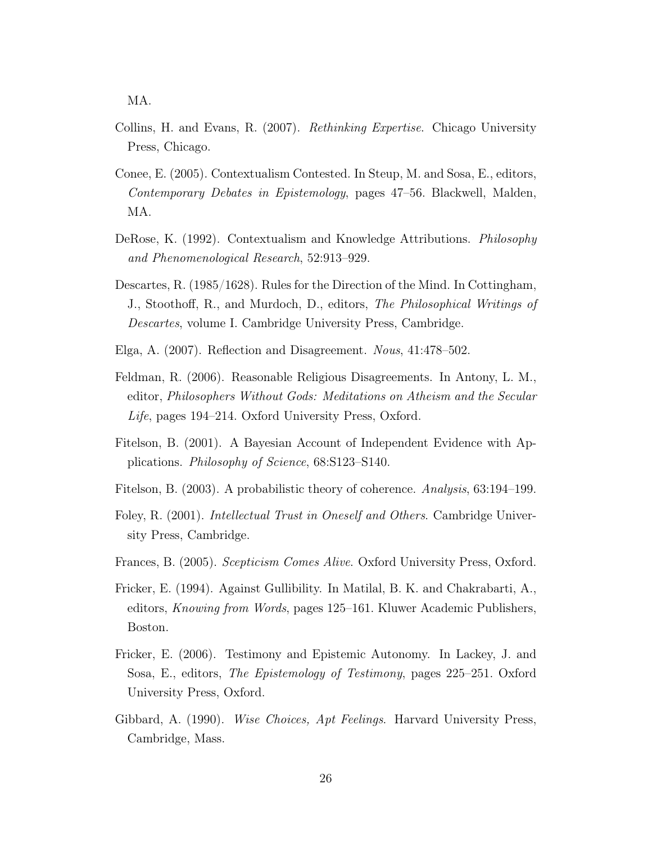MA.

- Collins, H. and Evans, R. (2007). Rethinking Expertise. Chicago University Press, Chicago.
- Conee, E. (2005). Contextualism Contested. In Steup, M. and Sosa, E., editors, Contemporary Debates in Epistemology, pages 47–56. Blackwell, Malden, MA.
- DeRose, K. (1992). Contextualism and Knowledge Attributions. Philosophy and Phenomenological Research, 52:913–929.
- Descartes, R. (1985/1628). Rules for the Direction of the Mind. In Cottingham, J., Stoothoff, R., and Murdoch, D., editors, The Philosophical Writings of Descartes, volume I. Cambridge University Press, Cambridge.
- Elga, A. (2007). Reflection and Disagreement. Nous, 41:478–502.
- Feldman, R. (2006). Reasonable Religious Disagreements. In Antony, L. M., editor, Philosophers Without Gods: Meditations on Atheism and the Secular Life, pages 194–214. Oxford University Press, Oxford.
- Fitelson, B. (2001). A Bayesian Account of Independent Evidence with Applications. Philosophy of Science, 68:S123–S140.
- Fitelson, B. (2003). A probabilistic theory of coherence. Analysis, 63:194–199.
- Foley, R. (2001). *Intellectual Trust in Oneself and Others*. Cambridge University Press, Cambridge.
- Frances, B. (2005). *Scepticism Comes Alive.* Oxford University Press, Oxford.
- Fricker, E. (1994). Against Gullibility. In Matilal, B. K. and Chakrabarti, A., editors, Knowing from Words, pages 125–161. Kluwer Academic Publishers, Boston.
- Fricker, E. (2006). Testimony and Epistemic Autonomy. In Lackey, J. and Sosa, E., editors, The Epistemology of Testimony, pages 225–251. Oxford University Press, Oxford.
- Gibbard, A. (1990). Wise Choices, Apt Feelings. Harvard University Press, Cambridge, Mass.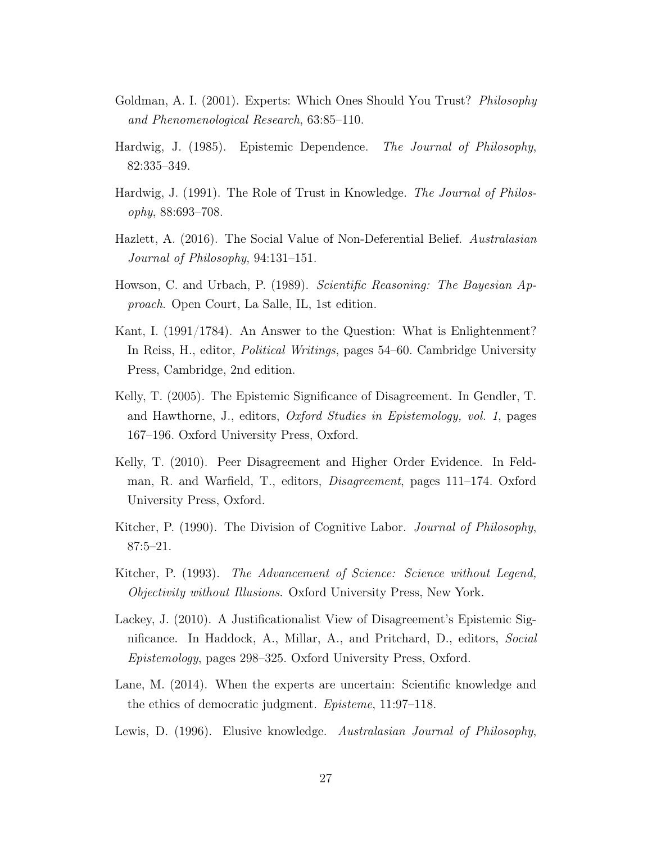- Goldman, A. I. (2001). Experts: Which Ones Should You Trust? Philosophy and Phenomenological Research, 63:85–110.
- Hardwig, J. (1985). Epistemic Dependence. The Journal of Philosophy, 82:335–349.
- Hardwig, J. (1991). The Role of Trust in Knowledge. *The Journal of Philos*ophy, 88:693–708.
- Hazlett, A. (2016). The Social Value of Non-Deferential Belief. Australasian Journal of Philosophy, 94:131–151.
- Howson, C. and Urbach, P. (1989). Scientific Reasoning: The Bayesian Approach. Open Court, La Salle, IL, 1st edition.
- Kant, I. (1991/1784). An Answer to the Question: What is Enlightenment? In Reiss, H., editor, Political Writings, pages 54–60. Cambridge University Press, Cambridge, 2nd edition.
- Kelly, T. (2005). The Epistemic Significance of Disagreement. In Gendler, T. and Hawthorne, J., editors, Oxford Studies in Epistemology, vol. 1, pages 167–196. Oxford University Press, Oxford.
- Kelly, T. (2010). Peer Disagreement and Higher Order Evidence. In Feldman, R. and Warfield, T., editors, Disagreement, pages 111–174. Oxford University Press, Oxford.
- Kitcher, P. (1990). The Division of Cognitive Labor. *Journal of Philosophy*, 87:5–21.
- Kitcher, P. (1993). The Advancement of Science: Science without Legend, Objectivity without Illusions. Oxford University Press, New York.
- Lackey, J. (2010). A Justificationalist View of Disagreement's Epistemic Significance. In Haddock, A., Millar, A., and Pritchard, D., editors, Social Epistemology, pages 298–325. Oxford University Press, Oxford.
- Lane, M. (2014). When the experts are uncertain: Scientific knowledge and the ethics of democratic judgment. Episteme, 11:97–118.
- Lewis, D. (1996). Elusive knowledge. Australasian Journal of Philosophy,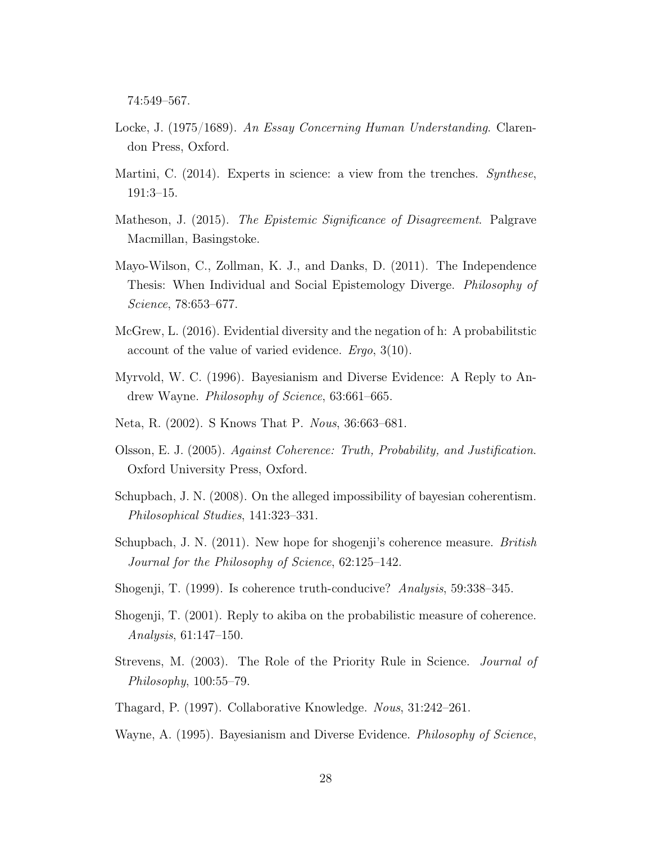74:549–567.

- Locke, J. (1975/1689). An Essay Concerning Human Understanding. Clarendon Press, Oxford.
- Martini, C. (2014). Experts in science: a view from the trenches. Synthese, 191:3–15.
- Matheson, J. (2015). The Epistemic Significance of Disagreement. Palgrave Macmillan, Basingstoke.
- Mayo-Wilson, C., Zollman, K. J., and Danks, D. (2011). The Independence Thesis: When Individual and Social Epistemology Diverge. Philosophy of Science, 78:653–677.
- McGrew, L. (2016). Evidential diversity and the negation of h: A probabilitstic account of the value of varied evidence. Ergo, 3(10).
- Myrvold, W. C. (1996). Bayesianism and Diverse Evidence: A Reply to Andrew Wayne. Philosophy of Science, 63:661–665.
- Neta, R. (2002). S Knows That P. Nous, 36:663–681.
- Olsson, E. J. (2005). Against Coherence: Truth, Probability, and Justification. Oxford University Press, Oxford.
- Schupbach, J. N. (2008). On the alleged impossibility of bayesian coherentism. Philosophical Studies, 141:323–331.
- Schupbach, J. N. (2011). New hope for shogenji's coherence measure. *British* Journal for the Philosophy of Science, 62:125–142.
- Shogenji, T. (1999). Is coherence truth-conducive? Analysis, 59:338–345.
- Shogenji, T. (2001). Reply to akiba on the probabilistic measure of coherence. Analysis, 61:147–150.
- Strevens, M. (2003). The Role of the Priority Rule in Science. Journal of Philosophy, 100:55–79.
- Thagard, P. (1997). Collaborative Knowledge. Nous, 31:242–261.
- Wayne, A. (1995). Bayesianism and Diverse Evidence. *Philosophy of Science*,